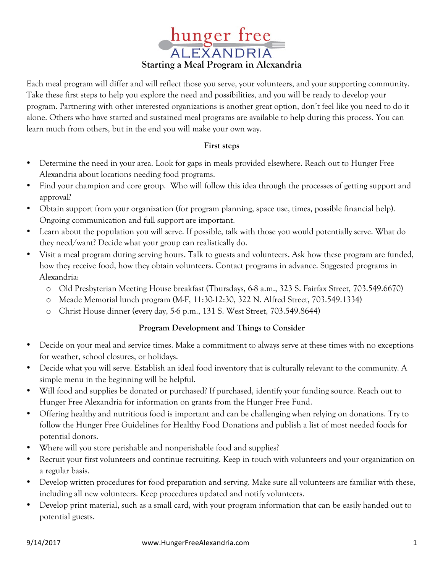

Each meal program will differ and will reflect those you serve, your volunteers, and your supporting community. Take these first steps to help you explore the need and possibilities, and you will be ready to develop your program. Partnering with other interested organizations is another great option, don't feel like you need to do it alone. Others who have started and sustained meal programs are available to help during this process. You can learn much from others, but in the end you will make your own way.

## **First steps**

- Determine the need in your area. Look for gaps in meals provided elsewhere. Reach out to Hunger Free Alexandria about locations needing food programs.
- Find your champion and core group. Who will follow this idea through the processes of getting support and approval?
- Obtain support from your organization (for program planning, space use, times, possible financial help). Ongoing communication and full support are important.
- Learn about the population you will serve. If possible, talk with those you would potentially serve. What do they need/want? Decide what your group can realistically do.
- Visit a meal program during serving hours. Talk to guests and volunteers. Ask how these program are funded, how they receive food, how they obtain volunteers. Contact programs in advance. Suggested programs in Alexandria:
	- o Old Presbyterian Meeting House breakfast (Thursdays, 6-8 a.m., 323 S. Fairfax Street, 703.549.6670)
	- o Meade Memorial lunch program (M-F, 11:30-12:30, 322 N. Alfred Street, 703.549.1334)
	- o Christ House dinner (every day, 5-6 p.m., 131 S. West Street, 703.549.8644)

## **Program Development and Things to Consider**

- Decide on your meal and service times. Make a commitment to always serve at these times with no exceptions for weather, school closures, or holidays.
- Decide what you will serve. Establish an ideal food inventory that is culturally relevant to the community. A simple menu in the beginning will be helpful.
- Will food and supplies be donated or purchased? If purchased, identify your funding source. Reach out to Hunger Free Alexandria for information on grants from the Hunger Free Fund.
- Offering healthy and nutritious food is important and can be challenging when relying on donations. Try to follow the Hunger Free Guidelines for Healthy Food Donations and publish a list of most needed foods for potential donors.
- Where will you store perishable and nonperishable food and supplies?
- Recruit your first volunteers and continue recruiting. Keep in touch with volunteers and your organization on a regular basis.
- Develop written procedures for food preparation and serving. Make sure all volunteers are familiar with these, including all new volunteers. Keep procedures updated and notify volunteers.
- Develop print material, such as a small card, with your program information that can be easily handed out to potential guests.